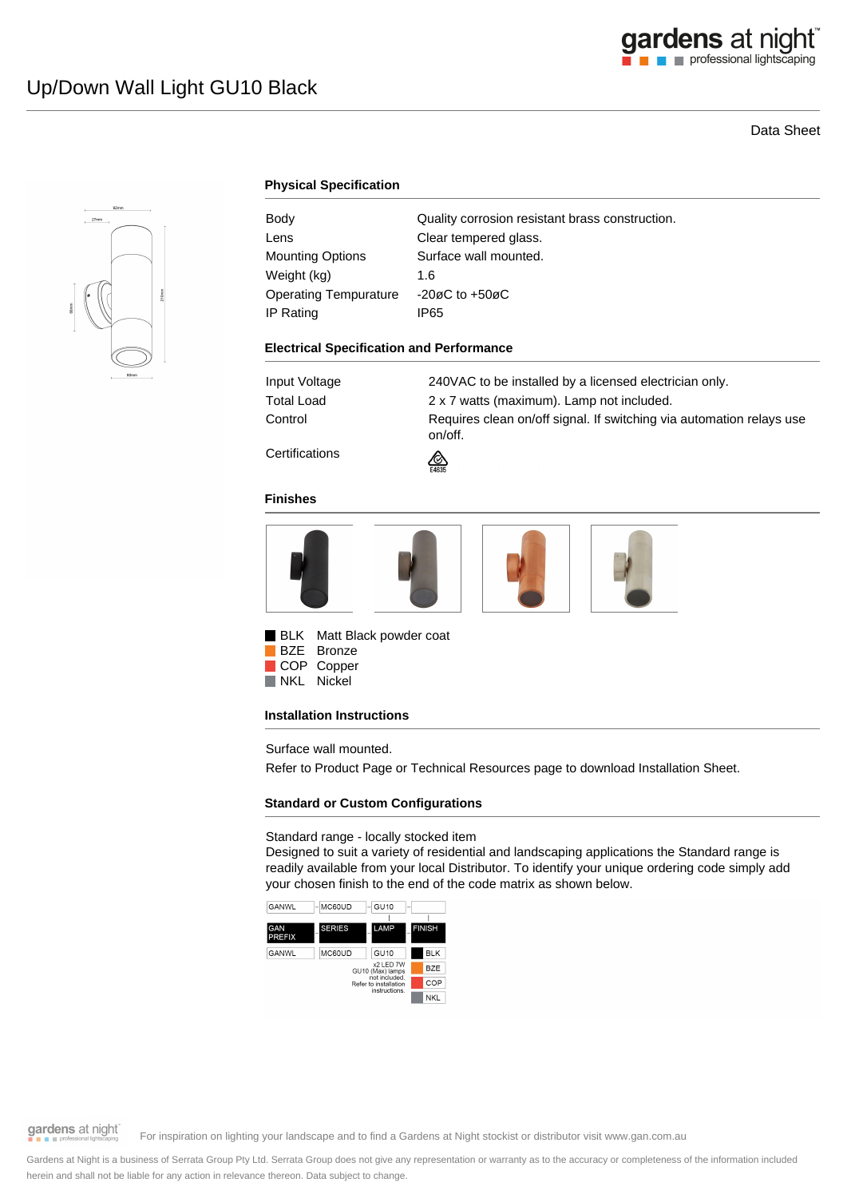# Data Sheet



# **Physical Specification**

| Body                         | Quality corrosion resistant brass construction. |
|------------------------------|-------------------------------------------------|
| Lens                         | Clear tempered glass.                           |
| <b>Mounting Options</b>      | Surface wall mounted.                           |
| Weight (kg)                  | 1.6                                             |
| <b>Operating Tempurature</b> | $-20\varnothing$ C to $+50\varnothing$ C        |
| IP Rating                    | IP65                                            |
|                              |                                                 |

#### **Electrical Specification and Performance**

Input Voltage 240VAC to be installed by a licensed electrician only. Total Load 2 x 7 watts (maximum). Lamp not included. Control **Requires clean on/off signal. If switching via automation relays use** on/off.

**Certifications** 



### **Finishes**



**BLK** Matt Black powder coat BZE Bronze

COP Copper NKL Nickel

### **Installation Instructions**

Surface wall mounted.

Refer to Product Page or Technical Resources page to download Installation Sheet.

### **Standard or Custom Configurations**

### Standard range - locally stocked item

Designed to suit a variety of residential and landscaping applications the Standard range is readily available from your local Distributor. To identify your unique ordering code simply add your chosen finish to the end of the code matrix as shown below.



gardens at night

For inspiration on lighting your landscape and to find a Gardens at Night stockist or distributor visit www.gan.com.au

Gardens at Night is a business of Serrata Group Pty Ltd. Serrata Group does not give any representation or warranty as to the accuracy or completeness of the information included herein and shall not be liable for any action in relevance thereon. Data subject to change.